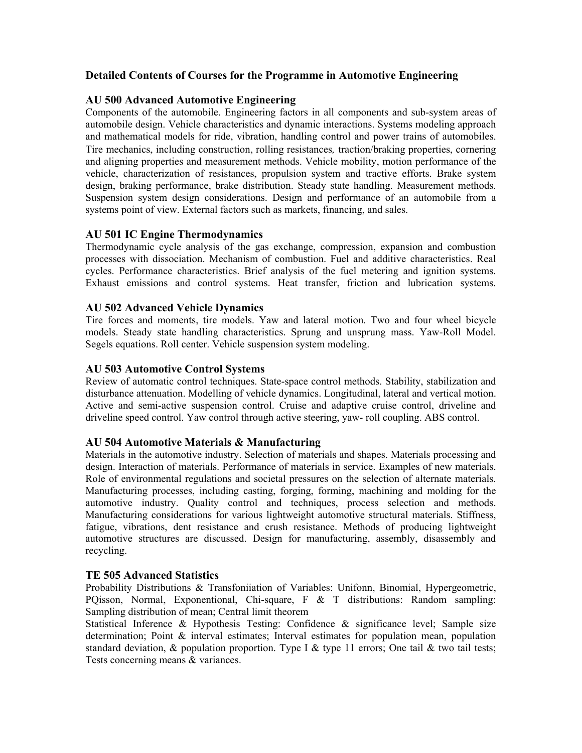# **Detailed Contents of Courses for the Programme in Automotive Engineering**

# **AU 500 Advanced Automotive Engineering**

Components of the automobile. Engineering factors in all components and sub-system areas of automobile design. Vehicle characteristics and dynamic interactions. Systems modeling approach and mathematical models for ride, vibration, handling control and power trains of automobiles. Tire mechanics, including construction, rolling resistances*,* traction/braking properties, cornering and aligning properties and measurement methods. Vehicle mobility, motion performance of the vehicle, characterization of resistances, propulsion system and tractive efforts. Brake system design, braking performance, brake distribution. Steady state handling. Measurement methods. Suspension system design considerations. Design and performance of an automobile from a systems point of view. External factors such as markets, financing, and sales.

## **AU 501 IC Engine Thermodynamics**

Thermodynamic cycle analysis of the gas exchange, compression, expansion and combustion processes with dissociation. Mechanism of combustion. Fuel and additive characteristics. Real cycles. Performance characteristics. Brief analysis of the fuel metering and ignition systems. Exhaust emissions and control systems. Heat transfer, friction and lubrication systems.

## **AU 502 Advanced Vehicle Dynamics**

Tire forces and moments, tire models. Yaw and lateral motion. Two and four wheel bicycle models. Steady state handling characteristics. Sprung and unsprung mass. Yaw-Roll Model. Segels equations. Roll center. Vehicle suspension system modeling.

## **AU 503 Automotive Control Systems**

Review of automatic control techniques. State-space control methods. Stability, stabilization and disturbance attenuation. Modelling of vehicle dynamics. Longitudinal, lateral and vertical motion. Active and semi-active suspension control. Cruise and adaptive cruise control, driveline and driveline speed control. Yaw control through active steering, yaw- roll coupling. ABS control.

## **AU 504 Automotive Materials & Manufacturing**

Materials in the automotive industry. Selection of materials and shapes. Materials processing and design. Interaction of materials. Performance of materials in service. Examples of new materials. Role of environmental regulations and societal pressures on the selection of alternate materials. Manufacturing processes, including casting, forging, forming, machining and molding for the automotive industry. Quality control and techniques, process selection and methods. Manufacturing considerations for various lightweight automotive structural materials. Stiffness, fatigue, vibrations, dent resistance and crush resistance. Methods of producing lightweight automotive structures are discussed. Design for manufacturing, assembly, disassembly and recycling.

## **TE 505 Advanced Statistics**

Probability Distributions & Transfoniiation of Variables: Unifonn, Binomial, Hypergeometric, PQisson, Normal, Exponentional, Chi-square, F & T distributions: Random sampling: Sampling distribution of mean; Central limit theorem

Statistical Inference & Hypothesis Testing: Confidence & significance level; Sample size determination; Point & interval estimates; Interval estimates for population mean, population standard deviation, & population proportion. Type I & type 11 errors; One tail & two tail tests; Tests concerning means & variances.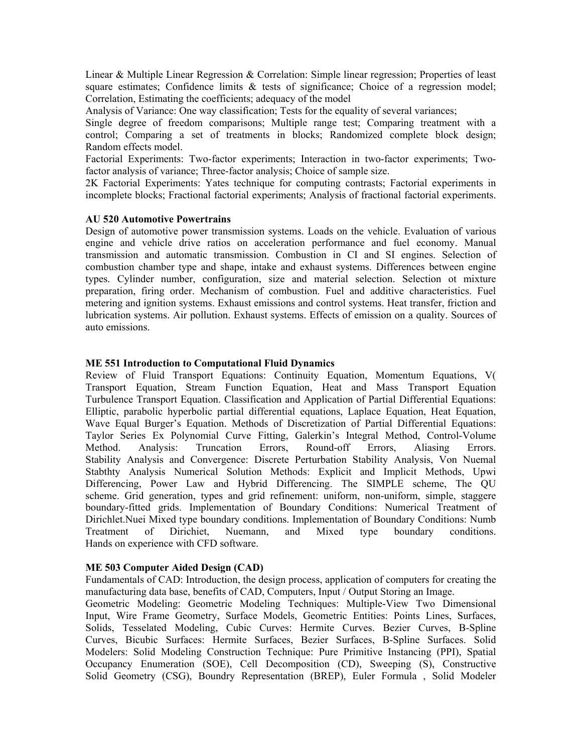Linear & Multiple Linear Regression & Correlation: Simple linear regression; Properties of least square estimates; Confidence limits & tests of significance; Choice of a regression model; Correlation, Estimating the coefficients; adequacy of the model

Analysis of Variance: One way classification; Tests for the equality of several variances;

Single degree of freedom comparisons; Multiple range test; Comparing treatment with a control; Comparing a set of treatments in blocks; Randomized complete block design; Random effects model.

Factorial Experiments: Two-factor experiments; Interaction in two-factor experiments; Twofactor analysis of variance; Three-factor analysis; Choice of sample size.

2K Factorial Experiments: Yates technique for computing contrasts; Factorial experiments in incomplete blocks; Fractional factorial experiments; Analysis of fractional factorial experiments.

#### **AU 520 Automotive Powertrains**

Design of automotive power transmission systems. Loads on the vehicle. Evaluation of various engine and vehicle drive ratios on acceleration performance and fuel economy. Manual transmission and automatic transmission. Combustion in CI and SI engines. Selection of combustion chamber type and shape, intake and exhaust systems. Differences between engine types. Cylinder number, configuration, size and material selection. Selection ot mixture preparation, firing order. Mechanism of combustion. Fuel and additive characteristics. Fuel metering and ignition systems. Exhaust emissions and control systems. Heat transfer, friction and lubrication systems. Air pollution. Exhaust systems. Effects of emission on a quality. Sources of auto emissions.

#### **ME 551 Introduction to Computational Fluid Dynamics**

Review of Fluid Transport Equations: Continuity Equation, Momentum Equations, V( Transport Equation, Stream Function Equation, Heat and Mass Transport Equation Turbulence Transport Equation. Classification and Application of Partial Differential Equations: Elliptic, parabolic hyperbolic partial differential equations, Laplace Equation, Heat Equation, Wave Equal Burger's Equation. Methods of Discretization of Partial Differential Equations: Taylor Series Ex Polynomial Curve Fitting, Galerkin's Integral Method, Control-Volume Method. Analysis: Truncation Errors, Round-off Errors, Aliasing Errors. Stability Analysis and Convergence: Discrete Perturbation Stability Analysis, Von Nuemal Stabthty Analysis Numerical Solution Methods: Explicit and Implicit Methods, Upwi Differencing, Power Law and Hybrid Differencing. The SIMPLE scheme, The QU scheme. Grid generation, types and grid refinement: uniform, non-uniform, simple, staggere boundary-fitted grids. Implementation of Boundary Conditions: Numerical Treatment of Dirichlet.Nuei Mixed type boundary conditions. Implementation of Boundary Conditions: Numb Treatment of Dirichiet, Nuemann, and Mixed type boundary conditions. Hands on experience with CFD software.

## **ME 503 Computer Aided Design (CAD)**

Fundamentals of CAD: Introduction, the design process, application of computers for creating the manufacturing data base, benefits of CAD, Computers, Input / Output Storing an Image.

Geometric Modeling: Geometric Modeling Techniques: Multiple-View Two Dimensional Input, Wire Frame Geometry, Surface Models, Geometric Entities: Points Lines, Surfaces, Solids, Tesselated Modeling, Cubic Curves: Hermite Curves. Bezier Curves, B-Spline Curves, Bicubic Surfaces: Hermite Surfaces, Bezier Surfaces, B-Spline Surfaces. Solid Modelers: Solid Modeling Construction Technique: Pure Primitive Instancing (PPI), Spatial Occupancy Enumeration (SOE), Cell Decomposition (CD), Sweeping (S), Constructive Solid Geometry (CSG), Boundry Representation (BREP), Euler Formula , Solid Modeler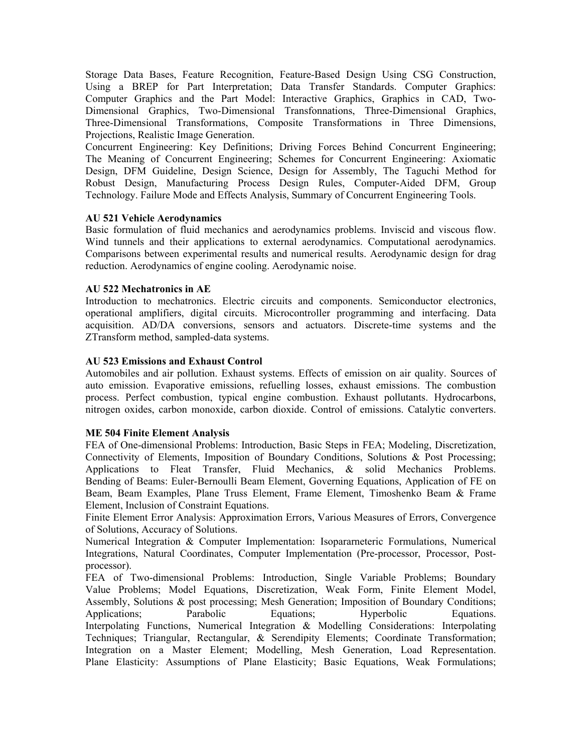Storage Data Bases, Feature Recognition, Feature-Based Design Using CSG Construction, Using a BREP for Part Interpretation; Data Transfer Standards. Computer Graphics: Computer Graphics and the Part Model: Interactive Graphics, Graphics in CAD, Two-Dimensional Graphics, Two-Dimensional Transfonnations, Three-Dimensional Graphics, Three-Dimensional Transformations, Composite Transformations in Three Dimensions, Projections, Realistic Image Generation.

Concurrent Engineering: Key Definitions; Driving Forces Behind Concurrent Engineering; The Meaning of Concurrent Engineering; Schemes for Concurrent Engineering: Axiomatic Design, DFM Guideline, Design Science, Design for Assembly, The Taguchi Method for Robust Design, Manufacturing Process Design Rules, Computer-Aided DFM, Group Technology. Failure Mode and Effects Analysis, Summary of Concurrent Engineering Tools.

## **AU 521 Vehicle Aerodynamics**

Basic formulation of fluid mechanics and aerodynamics problems. Inviscid and viscous flow. Wind tunnels and their applications to external aerodynamics. Computational aerodynamics. Comparisons between experimental results and numerical results. Aerodynamic design for drag reduction. Aerodynamics of engine cooling. Aerodynamic noise.

## **AU 522 Mechatronics in AE**

Introduction to mechatronics. Electric circuits and components. Semiconductor electronics, operational amplifiers, digital circuits. Microcontroller programming and interfacing. Data acquisition. AD/DA conversions, sensors and actuators. Discrete-time systems and the ZTransform method, sampled-data systems.

## **AU 523 Emissions and Exhaust Control**

Automobiles and air pollution. Exhaust systems. Effects of emission on air quality. Sources of auto emission. Evaporative emissions, refuelling losses, exhaust emissions. The combustion process. Perfect combustion, typical engine combustion. Exhaust pollutants. Hydrocarbons, nitrogen oxides, carbon monoxide, carbon dioxide. Control of emissions. Catalytic converters.

## **ME 504 Finite Element Analysis**

FEA of One-dimensional Problems: Introduction, Basic Steps in FEA; Modeling, Discretization, Connectivity of Elements, Imposition of Boundary Conditions, Solutions & Post Processing; Applications to Fleat Transfer, Fluid Mechanics, & solid Mechanics Problems. Bending of Beams: Euler-Bernoulli Beam Element, Governing Equations, Application of FE on Beam, Beam Examples, Plane Truss Element, Frame Element, Timoshenko Beam & Frame Element, Inclusion of Constraint Equations.

Finite Element Error Analysis: Approximation Errors, Various Measures of Errors, Convergence of Solutions, Accuracy of Solutions.

Numerical Integration & Computer Implementation: Isopararneteric Formulations, Numerical Integrations, Natural Coordinates, Computer Implementation (Pre-processor, Processor, Postprocessor).

FEA of Two-dimensional Problems: Introduction, Single Variable Problems; Boundary Value Problems; Model Equations, Discretization, Weak Form, Finite Element Model, Assembly, Solutions & post processing; Mesh Generation; Imposition of Boundary Conditions; Applications; Parabolic Equations; Hyperbolic Equations. Interpolating Functions, Numerical Integration & Modelling Considerations: Interpolating Techniques; Triangular, Rectangular, & Serendipity Elements; Coordinate Transformation; Integration on a Master Element; Modelling, Mesh Generation, Load Representation. Plane Elasticity: Assumptions of Plane Elasticity; Basic Equations, Weak Formulations;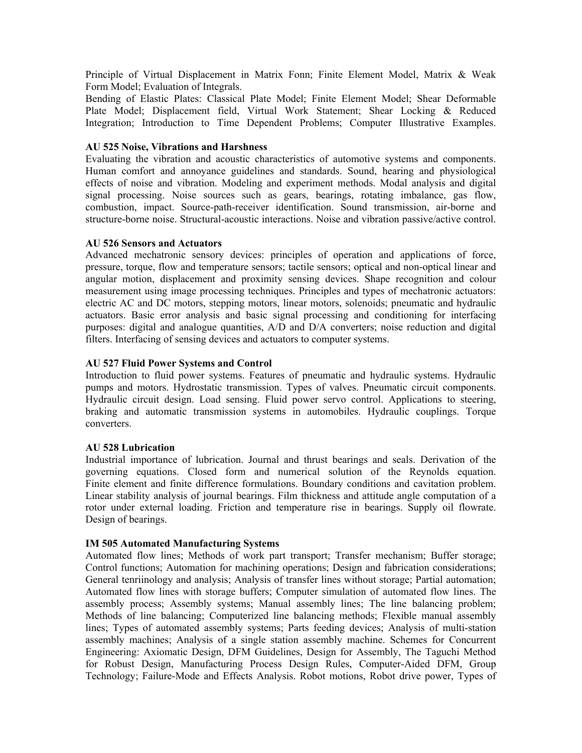Principle of Virtual Displacement in Matrix Fonn; Finite Element Model, Matrix & Weak Form Model; Evaluation of Integrals.

Bending of Elastic Plates: Classical Plate Model; Finite Element Model; Shear Deformable Plate Model; Displacement field, Virtual Work Statement; Shear Locking & Reduced Integration; Introduction to Time Dependent Problems; Computer Illustrative Examples.

## **AU 525 Noise, Vibrations and Harshness**

Evaluating the vibration and acoustic characteristics of automotive systems and components. Human comfort and annoyance guidelines and standards. Sound, hearing and physiological effects of noise and vibration. Modeling and experiment methods. Modal analysis and digital signal processing. Noise sources such as gears, bearings, rotating imbalance, gas flow, combustion, impact. Source-path-receiver identification. Sound transmission, air-borne and structure-borne noise. Structural-acoustic interactions. Noise and vibration passive/active control.

#### **AU 526 Sensors and Actuators**

Advanced mechatronic sensory devices: principles of operation and applications of force, pressure, torque, flow and temperature sensors; tactile sensors; optical and non-optical linear and angular motion, displacement and proximity sensing devices. Shape recognition and colour measurement using image processing techniques. Principles and types of mechatronic actuators: electric AC and DC motors, stepping motors, linear motors, solenoids; pneumatic and hydraulic actuators. Basic error analysis and basic signal processing and conditioning for interfacing purposes: digital and analogue quantities, A/D and D/A converters; noise reduction and digital filters. Interfacing of sensing devices and actuators to computer systems.

#### **AU 527 Fluid Power Systems and Control**

Introduction to fluid power systems. Features of pneumatic and hydraulic systems. Hydraulic pumps and motors. Hydrostatic transmission. Types of valves. Pneumatic circuit components. Hydraulic circuit design. Load sensing. Fluid power servo control. Applications to steering, braking and automatic transmission systems in automobiles. Hydraulic couplings. Torque converters.

#### **AU 528 Lubrication**

Industrial importance of lubrication. Journal and thrust bearings and seals. Derivation of the governing equations. Closed form and numerical solution of the Reynolds equation. Finite element and finite difference formulations. Boundary conditions and cavitation problem. Linear stability analysis of journal bearings. Film thickness and attitude angle computation of a rotor under external loading. Friction and temperature rise in bearings. Supply oil flowrate. Design of bearings.

#### **IM 505 Automated Manufacturing Systems**

Automated flow lines; Methods of work part transport; Transfer mechanism; Buffer storage; Control functions; Automation for machining operations; Design and fabrication considerations; General tenriinology and analysis; Analysis of transfer lines without storage; Partial automation; Automated flow lines with storage buffers; Computer simulation of automated flow lines. The assembly process; Assembly systems; Manual assembly lines; The line balancing problem; Methods of line balancing; Computerized line balancing methods; Flexible manual assembly lines; Types of automated assembly systems; Parts feeding devices; Analysis of multi-station assembly machines; Analysis of a single station assembly machine. Schemes for Concurrent Engineering: Axiomatic Design, DFM Guidelines, Design for Assembly, The Taguchi Method for Robust Design, Manufacturing Process Design Rules, Computer-Aided DFM, Group Technology; Failure-Mode and Effects Analysis. Robot motions, Robot drive power, Types of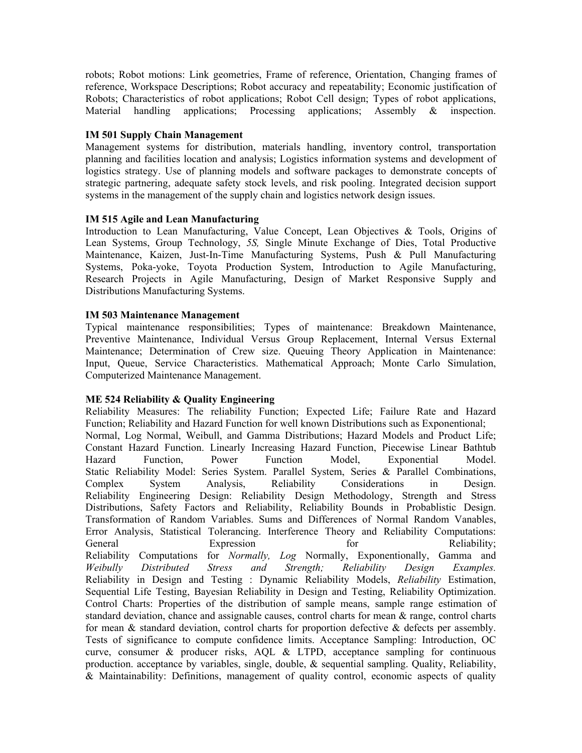robots; Robot motions: Link geometries, Frame of reference, Orientation, Changing frames of reference, Workspace Descriptions; Robot accuracy and repeatability; Economic justification of Robots; Characteristics of robot applications; Robot Cell design; Types of robot applications, Material handling applications; Processing applications; Assembly & inspection.

## **IM 501 Supply Chain Management**

Management systems for distribution, materials handling, inventory control, transportation planning and facilities location and analysis; Logistics information systems and development of logistics strategy. Use of planning models and software packages to demonstrate concepts of strategic partnering, adequate safety stock levels, and risk pooling. Integrated decision support systems in the management of the supply chain and logistics network design issues.

## **IM 515 Agile and Lean Manufacturing**

Introduction to Lean Manufacturing, Value Concept, Lean Objectives & Tools, Origins of Lean Systems, Group Technology, *5S,* Single Minute Exchange of Dies, Total Productive Maintenance, Kaizen, Just-In-Time Manufacturing Systems, Push & Pull Manufacturing Systems, Poka-yoke, Toyota Production System, Introduction to Agile Manufacturing, Research Projects in Agile Manufacturing, Design of Market Responsive Supply and Distributions Manufacturing Systems.

## **IM 503 Maintenance Management**

Typical maintenance responsibilities; Types of maintenance: Breakdown Maintenance, Preventive Maintenance, Individual Versus Group Replacement, Internal Versus External Maintenance; Determination of Crew size. Queuing Theory Application in Maintenance: Input, Queue, Service Characteristics. Mathematical Approach; Monte Carlo Simulation, Computerized Maintenance Management.

# **ME 524 Reliability & Quality Engineering**

Reliability Measures: The reliability Function; Expected Life; Failure Rate and Hazard Function; Reliability and Hazard Function for well known Distributions such as Exponentional; Normal, Log Normal, Weibull, and Gamma Distributions; Hazard Models and Product Life; Constant Hazard Function. Linearly Increasing Hazard Function, Piecewise Linear Bathtub Hazard Function, Power Function Model, Exponential Model. Static Reliability Model: Series System. Parallel System, Series & Parallel Combinations, Complex System Analysis, Reliability Considerations in Design. Reliability Engineering Design: Reliability Design Methodology, Strength and Stress Distributions, Safety Factors and Reliability, Reliability Bounds in Probablistic Design. Transformation of Random Variables. Sums and Differences of Normal Random Vanables, Error Analysis, Statistical Tolerancing. Interference Theory and Reliability Computations: General Expression Expression for Reliability; Reliability Computations for *Normally, Log* Normally, Exponentionally, Gamma and *Weibully Distributed Stress and Strength; Reliability Design Examples.*  Reliability in Design and Testing : Dynamic Reliability Models, *Reliability* Estimation, Sequential Life Testing, Bayesian Reliability in Design and Testing, Reliability Optimization. Control Charts: Properties of the distribution of sample means, sample range estimation of standard deviation, chance and assignable causes, control charts for mean  $\&$  range, control charts for mean & standard deviation, control charts for proportion defective & defects per assembly. Tests of significance to compute confidence limits. Acceptance Sampling: Introduction, OC curve, consumer & producer risks, AQL & LTPD, acceptance sampling for continuous production. acceptance by variables, single, double, & sequential sampling. Quality, Reliability, & Maintainability: Definitions, management of quality control, economic aspects of quality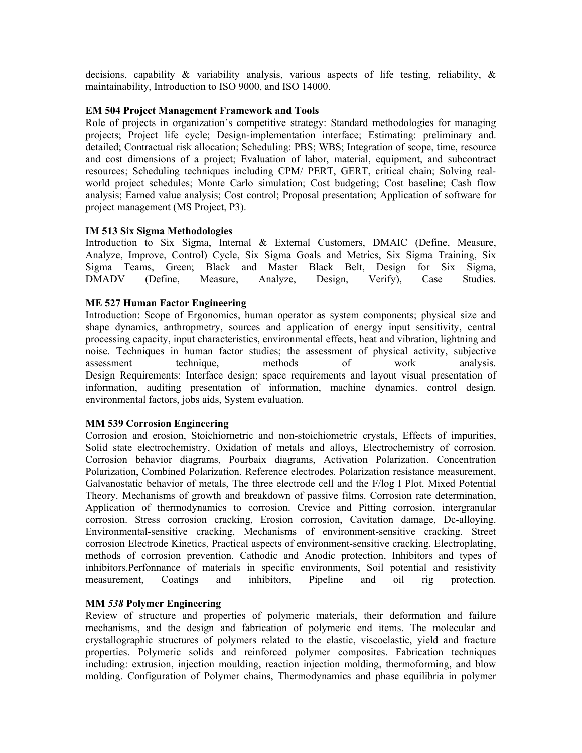decisions, capability & variability analysis, various aspects of life testing, reliability, & maintainability, Introduction to ISO 9000, and ISO 14000.

#### **EM 504 Project Management Framework and Tools**

Role of projects in organization's competitive strategy: Standard methodologies for managing projects; Project life cycle; Design-implementation interface; Estimating: preliminary and. detailed; Contractual risk allocation; Scheduling: PBS; WBS; Integration of scope, time, resource and cost dimensions of a project; Evaluation of labor, material, equipment, and subcontract resources; Scheduling techniques including CPM/ PERT, GERT, critical chain; Solving realworld project schedules; Monte Carlo simulation; Cost budgeting; Cost baseline; Cash flow analysis; Earned value analysis; Cost control; Proposal presentation; Application of software for project management (MS Project, P3).

#### **IM 513 Six Sigma Methodologies**

Introduction to Six Sigma, Internal & External Customers, DMAIC (Define, Measure, Analyze, Improve, Control) Cycle, Six Sigma Goals and Metrics, Six Sigma Training, Six Sigma Teams, Green; Black and Master Black Belt, Design for Six Sigma, DMADV (Define, Measure, Analyze, Design, Verify), Case Studies.

## **ME 527 Human Factor Engineering**

Introduction: Scope of Ergonomics, human operator as system components; physical size and shape dynamics, anthropmetry, sources and application of energy input sensitivity, central processing capacity, input characteristics, environmental effects, heat and vibration, lightning and noise. Techniques in human factor studies; the assessment of physical activity, subjective assessment technique, methods of work analysis. Design Requirements: Interface design; space requirements and layout visual presentation of information, auditing presentation of information, machine dynamics. control design. environmental factors, jobs aids, System evaluation.

#### **MM 539 Corrosion Engineering**

Corrosion and erosion, Stoichiornetric and non-stoichiometric crystals, Effects of impurities, Solid state electrochemistry, Oxidation of metals and alloys, Electrochemistry of corrosion. Corrosion behavior diagrams, Pourbaix diagrams, Activation Polarization. Concentration Polarization, Combined Polarization. Reference electrodes. Polarization resistance measurement, Galvanostatic behavior of metals, The three electrode cell and the F/log I Plot. Mixed Potential Theory. Mechanisms of growth and breakdown of passive films. Corrosion rate determination, Application of thermodynamics to corrosion. Crevice and Pitting corrosion, intergranular corrosion. Stress corrosion cracking, Erosion corrosion, Cavitation damage, Dc-alloying. Environmental-sensitive cracking, Mechanisms of environment-sensitive cracking. Street corrosion Electrode Kinetics, Practical aspects of environment-sensitive cracking. Electroplating, methods of corrosion prevention. Cathodic and Anodic protection, Inhibitors and types of inhibitors.Perfonnance of materials in specific environments, Soil potential and resistivity measurement, Coatings and inhibitors, Pipeline and oil rig protection.

## **MM** *538* **Polymer Engineering**

Review of structure and properties of polymeric materials, their deformation and failure mechanisms, and the design and fabrication of polymeric end items. The molecular and crystallographic structures of polymers related to the elastic, viscoelastic, yield and fracture properties. Polymeric solids and reinforced polymer composites. Fabrication techniques including: extrusion, injection moulding, reaction injection molding, thermoforming, and blow molding. Configuration of Polymer chains, Thermodynamics and phase equilibria in polymer